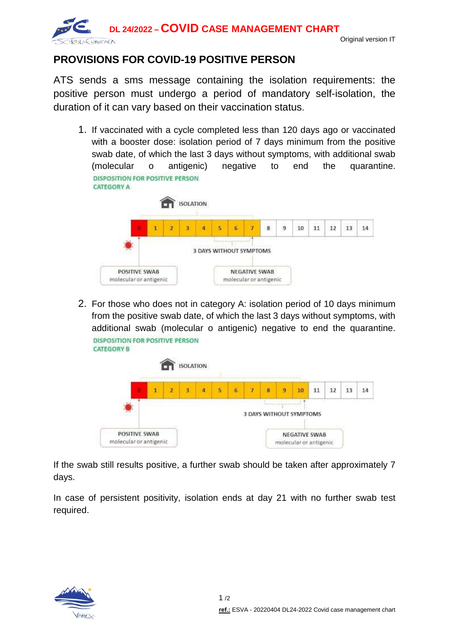

## **PROVISIONS FOR COVID-19 POSITIVE PERSON**

ATS sends a sms message containing the isolation requirements: the positive person must undergo a period of mandatory self-isolation, the duration of it can vary based on their vaccination status.

1. If vaccinated with a cycle completed less than 120 days ago or vaccinated with a booster dose: isolation period of 7 days minimum from the positive swab date, of which the last 3 days without symptoms, with additional swab (molecular o antigenic) negative to end the quarantine. **DISPOSITION FOR POSITIVE PERSON CATEGORY A** 



2. For those who does not in category A: isolation period of 10 days minimum from the positive swab date, of which the last 3 days without symptoms, with additional swab (molecular o antigenic) negative to end the quarantine. DISPOSITION FOR POSITIVE PERSON **CATEGORY B** 



If the swab still results positive, a further swab should be taken after approximately 7 days.

In case of persistent positivity, isolation ends at day 21 with no further swab test required.